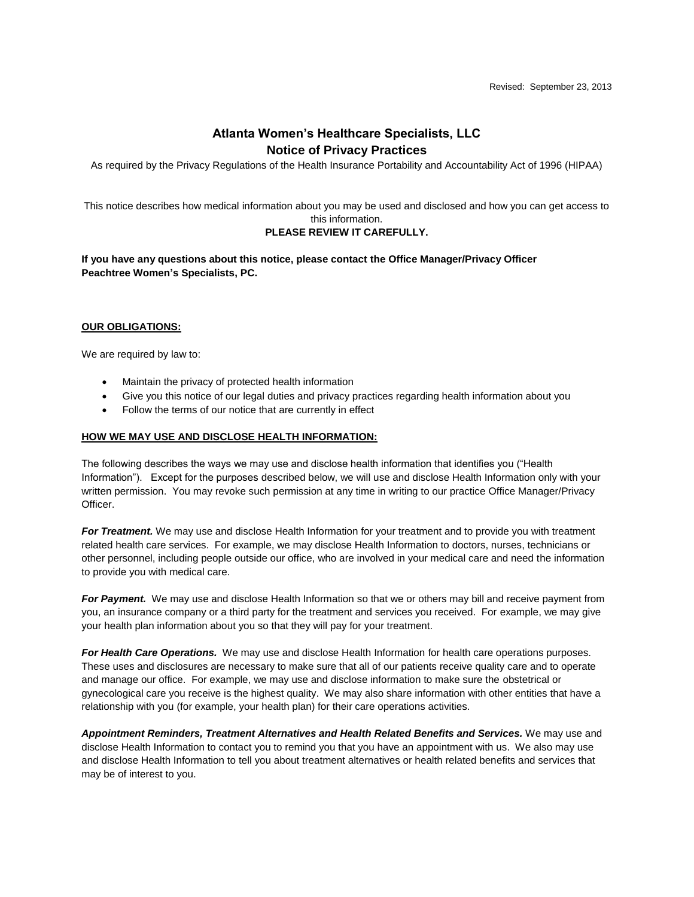# **Atlanta Women's Healthcare Specialists, LLC Notice of Privacy Practices**

As required by the Privacy Regulations of the Health Insurance Portability and Accountability Act of 1996 (HIPAA)

This notice describes how medical information about you may be used and disclosed and how you can get access to this information.

## **PLEASE REVIEW IT CAREFULLY.**

**If you have any questions about this notice, please contact the Office Manager/Privacy Officer Peachtree Women's Specialists, PC.**

## **OUR OBLIGATIONS:**

We are required by law to:

- Maintain the privacy of protected health information
- Give you this notice of our legal duties and privacy practices regarding health information about you
- Follow the terms of our notice that are currently in effect

## **HOW WE MAY USE AND DISCLOSE HEALTH INFORMATION:**

The following describes the ways we may use and disclose health information that identifies you ("Health Information"). Except for the purposes described below, we will use and disclose Health Information only with your written permission. You may revoke such permission at any time in writing to our practice Office Manager/Privacy Officer.

*For Treatment.* We may use and disclose Health Information for your treatment and to provide you with treatment related health care services. For example, we may disclose Health Information to doctors, nurses, technicians or other personnel, including people outside our office, who are involved in your medical care and need the information to provide you with medical care.

*For Payment.* We may use and disclose Health Information so that we or others may bill and receive payment from you, an insurance company or a third party for the treatment and services you received. For example, we may give your health plan information about you so that they will pay for your treatment.

*For Health Care Operations.* We may use and disclose Health Information for health care operations purposes. These uses and disclosures are necessary to make sure that all of our patients receive quality care and to operate and manage our office. For example, we may use and disclose information to make sure the obstetrical or gynecological care you receive is the highest quality. We may also share information with other entities that have a relationship with you (for example, your health plan) for their care operations activities.

*Appointment Reminders, Treatment Alternatives and Health Related Benefits and Services.* We may use and disclose Health Information to contact you to remind you that you have an appointment with us. We also may use and disclose Health Information to tell you about treatment alternatives or health related benefits and services that may be of interest to you.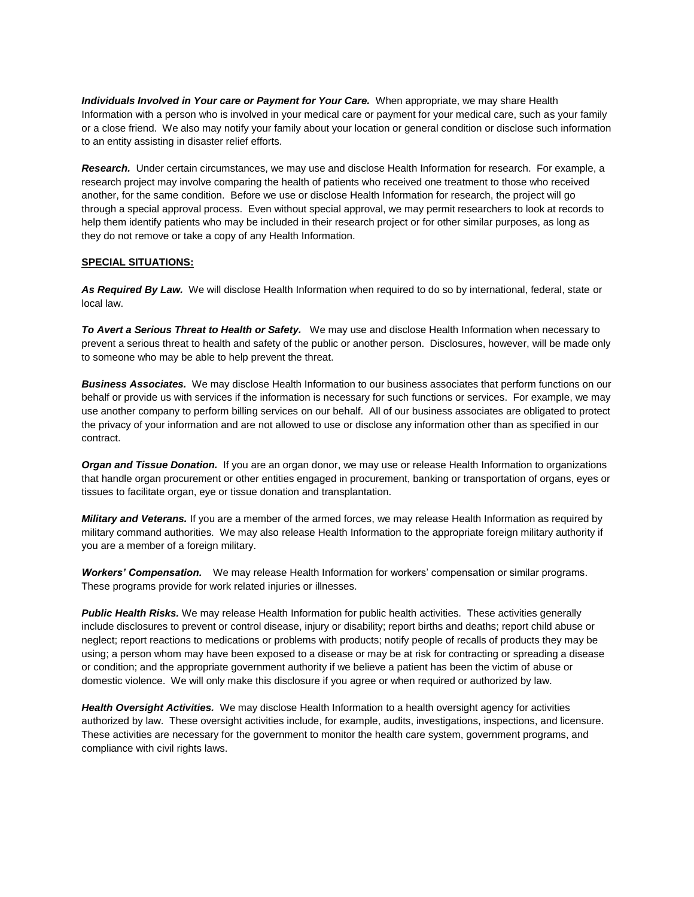*Individuals Involved in Your care or Payment for Your Care.* When appropriate, we may share Health Information with a person who is involved in your medical care or payment for your medical care, such as your family or a close friend. We also may notify your family about your location or general condition or disclose such information to an entity assisting in disaster relief efforts.

*Research.* Under certain circumstances, we may use and disclose Health Information for research. For example, a research project may involve comparing the health of patients who received one treatment to those who received another, for the same condition. Before we use or disclose Health Information for research, the project will go through a special approval process. Even without special approval, we may permit researchers to look at records to help them identify patients who may be included in their research project or for other similar purposes, as long as they do not remove or take a copy of any Health Information.

## **SPECIAL SITUATIONS:**

*As Required By Law.* We will disclose Health Information when required to do so by international, federal, state or local law.

*To Avert a Serious Threat to Health or Safety.* We may use and disclose Health Information when necessary to prevent a serious threat to health and safety of the public or another person. Disclosures, however, will be made only to someone who may be able to help prevent the threat.

*Business Associates.* We may disclose Health Information to our business associates that perform functions on our behalf or provide us with services if the information is necessary for such functions or services. For example, we may use another company to perform billing services on our behalf. All of our business associates are obligated to protect the privacy of your information and are not allowed to use or disclose any information other than as specified in our contract.

*Organ and Tissue Donation.* If you are an organ donor, we may use or release Health Information to organizations that handle organ procurement or other entities engaged in procurement, banking or transportation of organs, eyes or tissues to facilitate organ, eye or tissue donation and transplantation.

*Military and Veterans.* If you are a member of the armed forces, we may release Health Information as required by military command authorities. We may also release Health Information to the appropriate foreign military authority if you are a member of a foreign military.

*Workers' Compensation.* We may release Health Information for workers' compensation or similar programs. These programs provide for work related injuries or illnesses.

*Public Health Risks.* We may release Health Information for public health activities. These activities generally include disclosures to prevent or control disease, injury or disability; report births and deaths; report child abuse or neglect; report reactions to medications or problems with products; notify people of recalls of products they may be using; a person whom may have been exposed to a disease or may be at risk for contracting or spreading a disease or condition; and the appropriate government authority if we believe a patient has been the victim of abuse or domestic violence. We will only make this disclosure if you agree or when required or authorized by law.

*Health Oversight Activities.* We may disclose Health Information to a health oversight agency for activities authorized by law. These oversight activities include, for example, audits, investigations, inspections, and licensure. These activities are necessary for the government to monitor the health care system, government programs, and compliance with civil rights laws.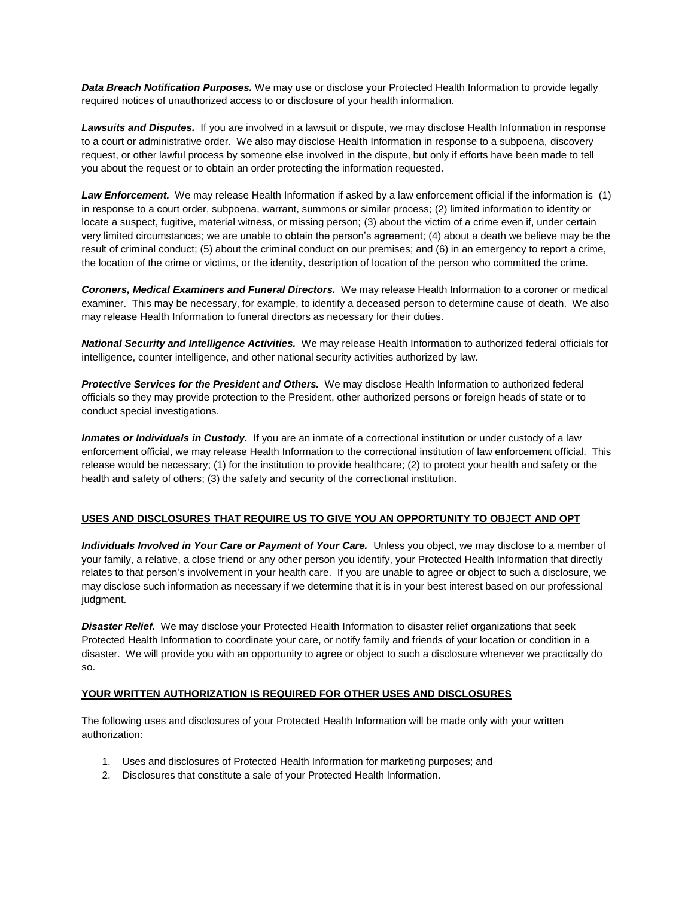*Data Breach Notification Purposes.* We may use or disclose your Protected Health Information to provide legally required notices of unauthorized access to or disclosure of your health information.

*Lawsuits and Disputes.* If you are involved in a lawsuit or dispute, we may disclose Health Information in response to a court or administrative order. We also may disclose Health Information in response to a subpoena, discovery request, or other lawful process by someone else involved in the dispute, but only if efforts have been made to tell you about the request or to obtain an order protecting the information requested.

*Law Enforcement.* We may release Health Information if asked by a law enforcement official if the information is (1) in response to a court order, subpoena, warrant, summons or similar process; (2) limited information to identity or locate a suspect, fugitive, material witness, or missing person; (3) about the victim of a crime even if, under certain very limited circumstances; we are unable to obtain the person's agreement; (4) about a death we believe may be the result of criminal conduct; (5) about the criminal conduct on our premises; and (6) in an emergency to report a crime, the location of the crime or victims, or the identity, description of location of the person who committed the crime.

*Coroners, Medical Examiners and Funeral Directors.* We may release Health Information to a coroner or medical examiner. This may be necessary, for example, to identify a deceased person to determine cause of death. We also may release Health Information to funeral directors as necessary for their duties.

*National Security and Intelligence Activities.* We may release Health Information to authorized federal officials for intelligence, counter intelligence, and other national security activities authorized by law.

*Protective Services for the President and Others.* We may disclose Health Information to authorized federal officials so they may provide protection to the President, other authorized persons or foreign heads of state or to conduct special investigations.

*Inmates or Individuals in Custody.* If you are an inmate of a correctional institution or under custody of a law enforcement official, we may release Health Information to the correctional institution of law enforcement official. This release would be necessary; (1) for the institution to provide healthcare; (2) to protect your health and safety or the health and safety of others; (3) the safety and security of the correctional institution.

## **USES AND DISCLOSURES THAT REQUIRE US TO GIVE YOU AN OPPORTUNITY TO OBJECT AND OPT**

*Individuals Involved in Your Care or Payment of Your Care.* Unless you object, we may disclose to a member of your family, a relative, a close friend or any other person you identify, your Protected Health Information that directly relates to that person's involvement in your health care. If you are unable to agree or object to such a disclosure, we may disclose such information as necessary if we determine that it is in your best interest based on our professional judgment.

*Disaster Relief.* We may disclose your Protected Health Information to disaster relief organizations that seek Protected Health Information to coordinate your care, or notify family and friends of your location or condition in a disaster. We will provide you with an opportunity to agree or object to such a disclosure whenever we practically do so.

## **YOUR WRITTEN AUTHORIZATION IS REQUIRED FOR OTHER USES AND DISCLOSURES**

The following uses and disclosures of your Protected Health Information will be made only with your written authorization:

- 1. Uses and disclosures of Protected Health Information for marketing purposes; and
- 2. Disclosures that constitute a sale of your Protected Health Information.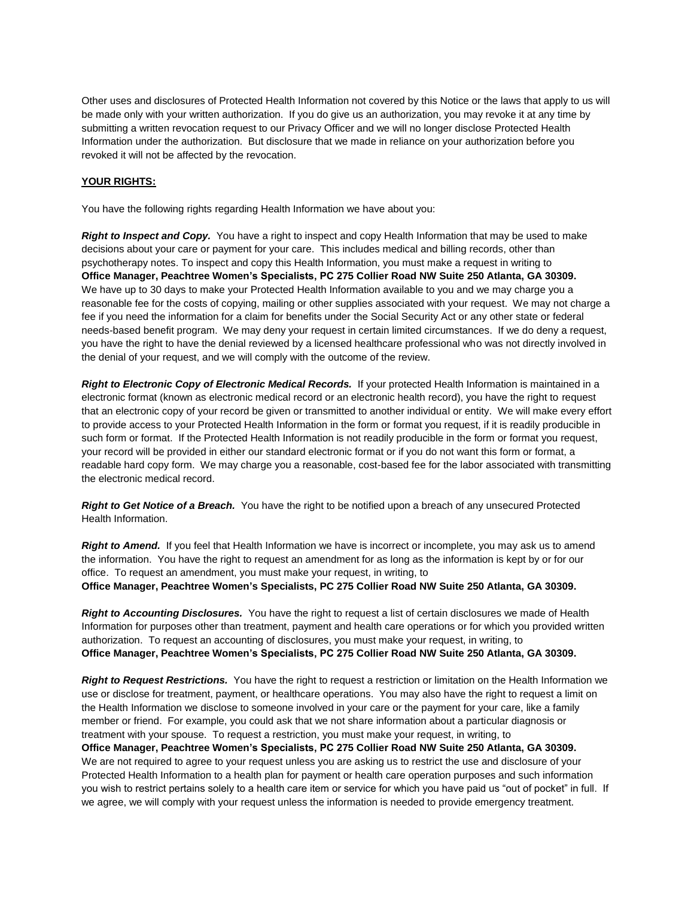Other uses and disclosures of Protected Health Information not covered by this Notice or the laws that apply to us will be made only with your written authorization. If you do give us an authorization, you may revoke it at any time by submitting a written revocation request to our Privacy Officer and we will no longer disclose Protected Health Information under the authorization. But disclosure that we made in reliance on your authorization before you revoked it will not be affected by the revocation.

## **YOUR RIGHTS:**

You have the following rights regarding Health Information we have about you:

*Right to Inspect and Copy.* You have a right to inspect and copy Health Information that may be used to make decisions about your care or payment for your care. This includes medical and billing records, other than psychotherapy notes. To inspect and copy this Health Information, you must make a request in writing to **Office Manager, Peachtree Women's Specialists, PC 275 Collier Road NW Suite 250 Atlanta, GA 30309.** We have up to 30 days to make your Protected Health Information available to you and we may charge you a reasonable fee for the costs of copying, mailing or other supplies associated with your request. We may not charge a fee if you need the information for a claim for benefits under the Social Security Act or any other state or federal needs-based benefit program. We may deny your request in certain limited circumstances. If we do deny a request, you have the right to have the denial reviewed by a licensed healthcare professional who was not directly involved in the denial of your request, and we will comply with the outcome of the review.

*Right to Electronic Copy of Electronic Medical Records.* If your protected Health Information is maintained in a electronic format (known as electronic medical record or an electronic health record), you have the right to request that an electronic copy of your record be given or transmitted to another individual or entity. We will make every effort to provide access to your Protected Health Information in the form or format you request, if it is readily producible in such form or format. If the Protected Health Information is not readily producible in the form or format you request, your record will be provided in either our standard electronic format or if you do not want this form or format, a readable hard copy form. We may charge you a reasonable, cost-based fee for the labor associated with transmitting the electronic medical record.

*Right to Get Notice of a Breach.* You have the right to be notified upon a breach of any unsecured Protected Health Information.

*Right to Amend.* If you feel that Health Information we have is incorrect or incomplete, you may ask us to amend the information. You have the right to request an amendment for as long as the information is kept by or for our office. To request an amendment, you must make your request, in writing, to **Office Manager, Peachtree Women's Specialists, PC 275 Collier Road NW Suite 250 Atlanta, GA 30309.**

*Right to Accounting Disclosures.* You have the right to request a list of certain disclosures we made of Health Information for purposes other than treatment, payment and health care operations or for which you provided written authorization. To request an accounting of disclosures, you must make your request, in writing, to **Office Manager, Peachtree Women's Specialists, PC 275 Collier Road NW Suite 250 Atlanta, GA 30309.**

*Right to Request Restrictions.* You have the right to request a restriction or limitation on the Health Information we use or disclose for treatment, payment, or healthcare operations. You may also have the right to request a limit on the Health Information we disclose to someone involved in your care or the payment for your care, like a family member or friend. For example, you could ask that we not share information about a particular diagnosis or treatment with your spouse. To request a restriction, you must make your request, in writing, to **Office Manager, Peachtree Women's Specialists, PC 275 Collier Road NW Suite 250 Atlanta, GA 30309.** We are not required to agree to your request unless you are asking us to restrict the use and disclosure of your Protected Health Information to a health plan for payment or health care operation purposes and such information you wish to restrict pertains solely to a health care item or service for which you have paid us "out of pocket" in full. If we agree, we will comply with your request unless the information is needed to provide emergency treatment.